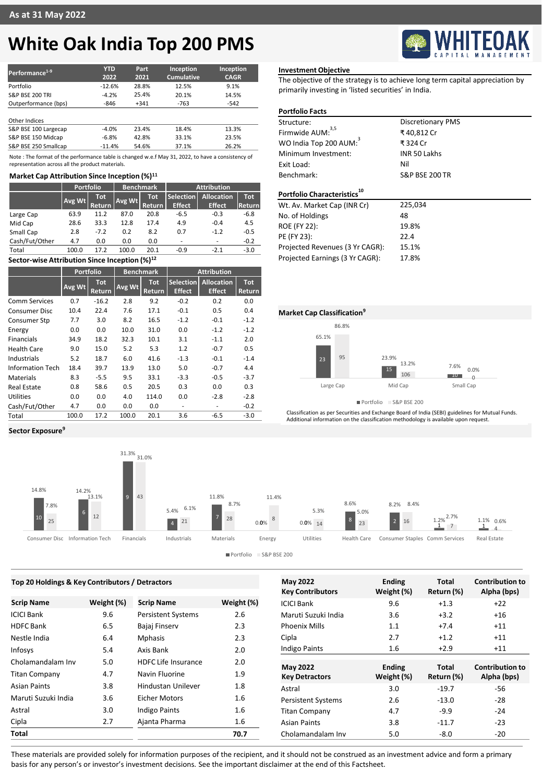# **White Oak India Top 200 PMS**

| Performance <sup>1-9</sup> | <b>YTD</b><br>2022 | Part<br>2021 | Inception<br><b>Cumulative</b> | Inception<br><b>CAGR</b> |
|----------------------------|--------------------|--------------|--------------------------------|--------------------------|
| Portfolio                  | $-12.6%$           | 28.8%        | 12.5%                          | 9.1%                     |
| <b>S&amp;P BSE 200 TRI</b> | $-4.2%$            | 25.4%        | 20.1%                          | 14.5%                    |
| Outperformance (bps)       | $-846$             | $+341$       | $-763$                         | $-542$                   |
| Other Indices              |                    |              |                                |                          |
| S&P BSE 100 Largecap       | $-4.0%$            | 23.4%        | 18.4%                          | 13.3%                    |
| S&P BSE 150 Midcap         | $-6.8%$            | 42.8%        | 33.1%                          | 23.5%                    |
| S&P BSE 250 Smallcap       | $-11.4%$           | 54.6%        | 37.1%                          | 26.2%                    |

Note : The format of the performance table is changed w.e.f May 31, 2022, to have a consistency of representation across all the product materials.

### **Market Cap Attribution Since Inception (%)<sup>11</sup>**

|                                                                   | <b>Portfolio</b><br><b>Benchmark</b> |                             |        | <b>Attribution</b>          |                                   |                                    |                      |  |
|-------------------------------------------------------------------|--------------------------------------|-----------------------------|--------|-----------------------------|-----------------------------------|------------------------------------|----------------------|--|
|                                                                   | Avg Wt                               | <b>Tot</b><br><b>Return</b> | Avg Wt | <b>Tot</b><br><b>Return</b> | <b>Selection</b><br><b>Effect</b> | <b>Allocation</b><br><b>Effect</b> | <b>Tot</b><br>Return |  |
| Large Cap                                                         | 63.9                                 | 11.2                        | 87.0   | 20.8                        | $-6.5$                            | $-0.3$                             | $-6.8$               |  |
| Mid Cap                                                           | 28.6                                 | 33.3                        | 12.8   | 17.4                        | 4.9                               | $-0.4$                             | 4.5                  |  |
| Small Cap                                                         | 2.8                                  | $-7.2$                      | 0.2    | 8.2                         | 0.7                               | $-1.2$                             | $-0.5$               |  |
| Cash/Fut/Other                                                    | 4.7                                  | 0.0                         | 0.0    | 0.0                         | ٠                                 | -                                  | $-0.2$               |  |
| Total                                                             | 100.0                                | 17.2                        | 100.0  | 20.1                        | $-0.9$                            | $-2.1$                             | $-3.0$               |  |
| $\bullet$ is the state of the state of the state of $\sim$ 10/112 |                                      |                             |        |                             |                                   |                                    |                      |  |

## **Sector-wise Attribution Since Inception (%)<sup>12</sup>**

|                         | Portfolio |                      | <b>Benchmark</b> |                      | <b>Attribution</b>         |                                    |                      |
|-------------------------|-----------|----------------------|------------------|----------------------|----------------------------|------------------------------------|----------------------|
|                         | Avg Wt    | <b>Tot</b><br>Return | Avg Wt           | <b>Tot</b><br>Return | Selection<br><b>Effect</b> | <b>Allocation</b><br><b>Effect</b> | <b>Tot</b><br>Return |
| Comm Services           | 0.7       | $-16.2$              | 2.8              | 9.2                  | $-0.2$                     | 0.2                                | 0.0                  |
| <b>Consumer Disc</b>    | 10.4      | 22.4                 | 7.6              | 17.1                 | $-0.1$                     | 0.5                                | 0.4                  |
| Consumer Stp            | 7.7       | 3.0                  | 8.2              | 16.5                 | $-1.2$                     | $-0.1$                             | $-1.2$               |
| Energy                  | 0.0       | 0.0                  | 10.0             | 31.0                 | 0.0                        | $-1.2$                             | $-1.2$               |
| <b>Financials</b>       | 34.9      | 18.2                 | 32.3             | 10.1                 | 3.1                        | $-1.1$                             | 2.0                  |
| <b>Health Care</b>      | 9.0       | 15.0                 | 5.2              | 5.3                  | 1.2                        | $-0.7$                             | 0.5                  |
| Industrials             | 5.2       | 18.7                 | 6.0              | 41.6                 | $-1.3$                     | $-0.1$                             | $-1.4$               |
| <b>Information Tech</b> | 18.4      | 39.7                 | 13.9             | 13.0                 | 5.0                        | $-0.7$                             | 4.4                  |
| <b>Materials</b>        | 8.3       | $-5.5$               | 9.5              | 33.1                 | $-3.3$                     | $-0.5$                             | $-3.7$               |
| Real Estate             | 0.8       | 58.6                 | 0.5              | 20.5                 | 0.3                        | 0.0                                | 0.3                  |
| Utilities               | 0.0       | 0.0                  | 4.0              | 114.0                | 0.0                        | $-2.8$                             | $-2.8$               |
| Cash/Fut/Other          | 4.7       | 0.0                  | 0.0              | 0.0                  | ۰                          | ٠                                  | $-0.2$               |
| Total                   | 100.0     | 17.2                 | 100.0            | 20.1                 | 3.6                        | $-6.5$                             | $-3.0$               |

## **Investment Objective**

The objective of the strategy is to achieve long term capital appreciation by primarily investing in 'listed securities' in India.

### **Portfolio Facts**

| Structure:                              | <b>Discretionary PMS</b>  |
|-----------------------------------------|---------------------------|
| Firmwide AUM: <sup>3,5</sup>            | ₹40.812 Cr                |
| WO India Top 200 AUM:                   | ₹324 Cr                   |
| Minimum Investment:                     | <b>INR 50 Lakhs</b>       |
| Exit Load:                              | Nil                       |
| Benchmark:                              | <b>S&amp;P BSE 200 TR</b> |
| Portfolio Characteristics <sup>10</sup> |                           |
| Wt. Av. Market Cap (INR Cr)             | 225,034                   |
| No. of Holdings                         | 48                        |
| <b>ROE (FY 22):</b>                     | 19.8%                     |
| PE (FY 23):                             | 22.4                      |
| Projected Revenues (3 Yr CAGR):         | 15.1%                     |
| Projected Earnings (3 Yr CAGR):         | 17.8%                     |



Portfolio S&P BSE 200

Classification as per Securities and Exchange Board of India (SEBI) guidelines for Mutual Funds. Additional information on the classification methodology is available upon request.



Portfolio S&P BSE 200

| Top 20 Holdings & Key Contributors / Detractors |            |                            |            | <b>May 2022</b>           | <b>Ending</b> | <b>Total</b> | <b>Contribution to</b> |
|-------------------------------------------------|------------|----------------------------|------------|---------------------------|---------------|--------------|------------------------|
|                                                 |            |                            |            | <b>Key Contributors</b>   | Weight (%)    | Return (%)   | Alpha (bps)            |
| <b>Scrip Name</b>                               | Weight (%) | <b>Scrip Name</b>          | Weight (%) | <b>ICICI Bank</b>         | 9.6           | $+1.3$       | $+22$                  |
| ICICI Bank                                      | 9.6        | <b>Persistent Systems</b>  | 2.6        | Maruti Suzuki India       | 3.6           | $+3.2$       | $+16$                  |
| <b>HDFC Bank</b>                                | 6.5        | Bajaj Finserv              | 2.3        | <b>Phoenix Mills</b>      | 1.1           | $+7.4$       | $+11$                  |
| Nestle India                                    | 6.4        | <b>Mphasis</b>             | 2.3        | Cipla                     | 2.7           | $+1.2$       | $+11$                  |
| Infosys                                         | 5.4        | Axis Bank                  | 2.0        | <b>Indigo Paints</b>      | 1.6           | $+2.9$       | $+11$                  |
| Cholamandalam Inv                               | 5.0        | <b>HDFC Life Insurance</b> | 2.0        | <b>May 2022</b>           | <b>Ending</b> | Total        | <b>Contribution to</b> |
| <b>Titan Company</b>                            | 4.7        | Navin Fluorine             | 1.9        | <b>Key Detractors</b>     | Weight (%)    | Return (%)   | Alpha (bps)            |
| Asian Paints                                    | 3.8        | Hindustan Unilever         | 1.8        | Astral                    | 3.0           | $-19.7$      | $-56$                  |
| Maruti Suzuki India                             | 3.6        | <b>Eicher Motors</b>       | 1.6        | <b>Persistent Systems</b> | 2.6           | $-13.0$      | $-28$                  |
| Astral                                          | 3.0        | <b>Indigo Paints</b>       | 1.6        | <b>Titan Company</b>      | 4.7           | $-9.9$       | $-24$                  |
| Cipla                                           | 2.7        | Ajanta Pharma              | 1.6        | <b>Asian Paints</b>       | 3.8           | $-11.7$      | $-23$                  |
| Total                                           |            |                            | 70.7       | Cholamandalam Inv         | 5.0           | $-8.0$       | $-20$                  |
|                                                 |            |                            |            |                           |               |              |                        |

These materials are provided solely for information purposes of the recipient, and it should not be construed as an investment advice and form a primary basis for any person's or investor's investment decisions. See the important disclaimer at the end of this Factsheet.

### **Sector Exposure<sup>9</sup>**